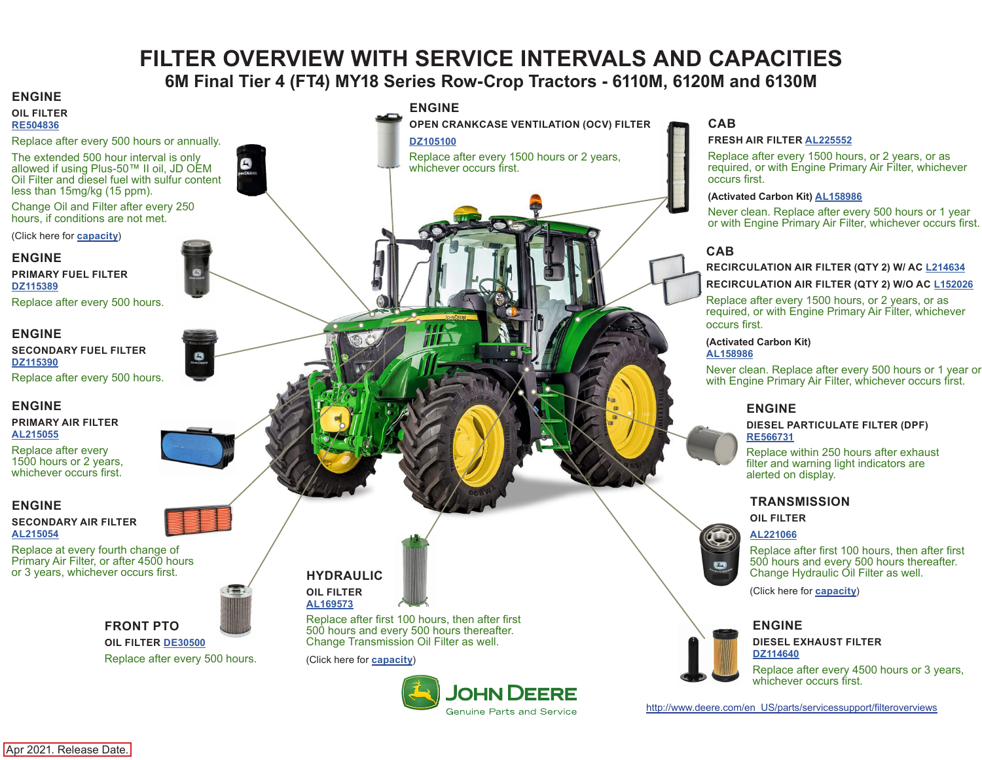## **FILTER OVERVIEW WITH SERVICE INTERVALS AND CAPACITIES 6M Final Tier 4 (FT4) MY18 Series Row-Crop Tractors - 6110M, 6120M and 6130M**

**Genuine Parts and Service** 

#### <span id="page-0-0"></span>**ENGINE ENGINE OIL FILTER OPEN CRANKCASE VENTILATION (OCV) FILTER [RE504836](https://jdparts.deere.com/servlet/com.deere.u90.jdparts.view.servlets.partinfocontroller.PartDetails?screenName=JDSearch&&partSearchNumber=RE504836)** Replace after every 500 hours or annually. **[DZ105100](https://jdparts.deere.com/servlet/com.deere.u90.jdparts.view.servlets.partinfocontroller.PartDetails?screenName=JDSearch&&partSearchNumber=DZ105100)** The extended 500 hour interval is only Replace after every 1500 hours or 2 years, allowed if using Plus-50™ II oil, JD OEM whichever occurs first. Oil Filter and diesel fuel with sulfur content less than 15mg/kg (15 ppm). Change Oil and Filter after every 250 hours, if conditions are not met. (Click here for **[capacity](#page-1-0)**) **ENGINE PRIMARY FUEL FILTER [DZ115389](https://jdparts.deere.com/servlet/com.deere.u90.jdparts.view.servlets.partinfocontroller.PartDetails?screenName=JDSearch&&partSearchNumber=
DZ115389)** Replace after every 500 hours. **ENGINE SECONDARY FUEL FILTER [DZ115390](https://jdparts.deere.com/servlet/com.deere.u90.jdparts.view.servlets.partinfocontroller.PartDetails?screenName=JDSearch&&partSearchNumber=
DZ115390)** Replace after every 500 hours. **ENGINE PRIMARY AIR FILTER [AL215055](https://jdparts.deere.com/servlet/com.deere.u90.jdparts.view.servlets.partinfocontroller.PartDetails?screenName=JDSearch&&partSearchNumber=AL215055)** Replace after every 1500 hours or 2 years, whichever occurs first. **ENGINE SECONDARY AIR FILTER [AL215054](https://jdparts.deere.com/servlet/com.deere.u90.jdparts.view.servlets.partinfocontroller.PartDetails?screenName=JDSearch&&partSearchNumber=AL215054)** Replace at every fourth change of Primary Air Filter, or after 4500 hours or 3 years, whichever occurs first. **HYDRAULIC OIL FILTER [AL169573](https://jdparts.deere.com/servlet/com.deere.u90.jdparts.view.servlets.partinfocontroller.PartDetails?screenName=JDSearch&&partSearchNumber=AL169573)** Replace after first 100 hours, then after first **FRONT PTO** 500 hours and every 500 hours thereafter. Change Transmission Oil Filter as well. **OIL FILTER [DE30500](https://jdparts.deere.com/servlet/com.deere.u90.jdparts.view.servlets.partinfocontroller.PartDetails?screenName=JDSearch&&partSearchNumber=DE30500)** Replace after every 500 hours. (Click here for **[capacity](#page-1-0)**) **JOHN DEERE**

### **CAB**

#### **FRESH AIR FILTER [AL225552](https://jdparts.deere.com/servlet/com.deere.u90.jdparts.view.servlets.partinfocontroller.PartDetails?screenName=JDSearch&&partSearchNumber=
AL225552)**

Replace after every 1500 hours, or 2 years, or as required, or with Engine Primary Air Filter, whichever occurs first.

#### **(Activated Carbon Kit) [AL158986](https://jdparts.deere.com/servlet/com.deere.u90.jdparts.view.servlets.partinfocontroller.PartDetails?screenName=JDSearch&&partSearchNumber=AL158986)**

Never clean. Replace after every 500 hours or 1 year or with Engine Primary Air Filter, whichever occurs first.

## **CAB**

#### **RECIRCULATION AIR FILTER (QTY 2) W/ AC [L214634](https://jdparts.deere.com/servlet/com.deere.u90.jdparts.view.servlets.partinfocontroller.PartDetails?screenName=JDSearch&&partSearchNumber=L214634)**

#### **RECIRCULATION AIR FILTER (QTY 2) W/O AC [L152026](https://jdparts.deere.com/servlet/com.deere.u90.jdparts.view.servlets.partinfocontroller.PartDetails?screenName=JDSearch&&partSearchNumber=L152026)**

Replace after every 1500 hours, or 2 years, or as required, or with Engine Primary Air Filter, whichever occurs first.

## **(Activated Carbon Kit)**

#### **[AL158986](https://jdparts.deere.com/servlet/com.deere.u90.jdparts.view.servlets.partinfocontroller.PartDetails?screenName=JDSearch&&partSearchNumber=AL158986)**

Never clean. Replace after every 500 hours or 1 year or with Engine Primary Air Filter, whichever occurs first.

#### **ENGINE**

#### **DIESEL PARTICULATE FILTER (DPF) [RE566731](https://jdparts.deere.com/servlet/com.deere.u90.jdparts.view.servlets.partinfocontroller.PartDetails?screenName=JDSearch&&partSearchNumber=RE566731)**

Replace within 250 hours after exhaust filter and warning light indicators are alerted on display.

## **TRANSMISSION**

**OIL FILTER**

#### **[AL221066](https://jdparts.deere.com/servlet/com.deere.u90.jdparts.view.servlets.partinfocontroller.PartDetails?screenName=JDSearch&&partSearchNumber=AL221066)**

Replace after first 100 hours, then after first 500 hours and every 500 hours thereafter. Change Hydraulic Oil Filter as well.

(Click here for **[capacity](#page-1-0)**)

## **ENGINE**

#### **DIESEL EXHAUST FILTER [DZ114640](https://jdparts.deere.com/servlet/com.deere.u90.jdparts.view.servlets.partinfocontroller.PartDetails?screenName=JDSearch&&partSearchNumber=
DZ114640)**

Replace after every 4500 hours or 3 years, whichever occurs first.

[http://www.deere.com/en\\_US/parts/servicessupport/filteroverviews](http://www.deere.com/en_US/parts/servicessupport/filteroverviews)

Apr 2021. Release Date.